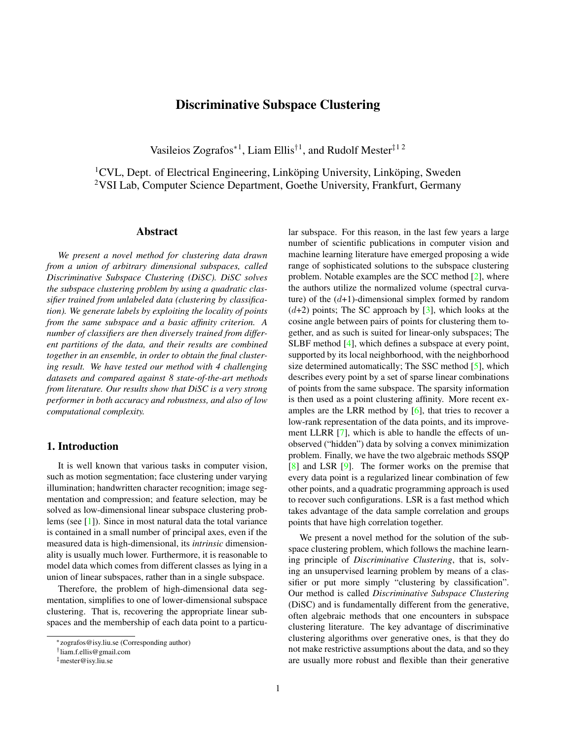# Discriminative Subspace Clustering

Vasileios Zografos<sup>\*1</sup>, Liam Ellis<sup>†1</sup>, and Rudolf Mester<sup>‡1 2</sup>

<span id="page-0-0"></span> ${}^{1}$ CVL, Dept. of Electrical Engineering, Linköping University, Linköping, Sweden <sup>2</sup>VSI Lab, Computer Science Department, Goethe University, Frankfurt, Germany

# Abstract

*We present a novel method for clustering data drawn from a union of arbitrary dimensional subspaces, called Discriminative Subspace Clustering (DiSC). DiSC solves the subspace clustering problem by using a quadratic classifier trained from unlabeled data (clustering by classification). We generate labels by exploiting the locality of points from the same subspace and a basic affinity criterion. A number of classifiers are then diversely trained from different partitions of the data, and their results are combined together in an ensemble, in order to obtain the final clustering result. We have tested our method with 4 challenging datasets and compared against 8 state-of-the-art methods from literature. Our results show that DiSC is a very strong performer in both accuracy and robustness, and also of low computational complexity.*

# 1. Introduction

It is well known that various tasks in computer vision, such as motion segmentation; face clustering under varying illumination; handwritten character recognition; image segmentation and compression; and feature selection, may be solved as low-dimensional linear subspace clustering problems (see [\[1\]](#page-7-0)). Since in most natural data the total variance is contained in a small number of principal axes, even if the measured data is high-dimensional, its *intrinsic* dimensionality is usually much lower. Furthermore, it is reasonable to model data which comes from different classes as lying in a union of linear subspaces, rather than in a single subspace.

Therefore, the problem of high-dimensional data segmentation, simplifies to one of lower-dimensional subspace clustering. That is, recovering the appropriate linear subspaces and the membership of each data point to a particular subspace. For this reason, in the last few years a large number of scientific publications in computer vision and machine learning literature have emerged proposing a wide range of sophisticated solutions to the subspace clustering problem. Notable examples are the SCC method [\[2\]](#page-7-1), where the authors utilize the normalized volume (spectral curvature) of the  $(d+1)$ -dimensional simplex formed by random  $(d+2)$  points; The SC approach by [\[3\]](#page-7-2), which looks at the cosine angle between pairs of points for clustering them together, and as such is suited for linear-only subspaces; The SLBF method [\[4\]](#page-7-3), which defines a subspace at every point, supported by its local neighborhood, with the neighborhood size determined automatically; The SSC method [\[5\]](#page-7-4), which describes every point by a set of sparse linear combinations of points from the same subspace. The sparsity information is then used as a point clustering affinity. More recent examples are the LRR method by  $[6]$ , that tries to recover a low-rank representation of the data points, and its improvement LLRR [\[7\]](#page-7-6), which is able to handle the effects of unobserved ("hidden") data by solving a convex minimization problem. Finally, we have the two algebraic methods SSQP [\[8\]](#page-7-7) and LSR [\[9\]](#page-7-8). The former works on the premise that every data point is a regularized linear combination of few other points, and a quadratic programming approach is used to recover such configurations. LSR is a fast method which takes advantage of the data sample correlation and groups points that have high correlation together.

We present a novel method for the solution of the subspace clustering problem, which follows the machine learning principle of *Discriminative Clustering*, that is, solving an unsupervised learning problem by means of a classifier or put more simply "clustering by classification". Our method is called *Discriminative Subspace Clustering* (DiSC) and is fundamentally different from the generative, often algebraic methods that one encounters in subspace clustering literature. The key advantage of discriminative clustering algorithms over generative ones, is that they do not make restrictive assumptions about the data, and so they are usually more robust and flexible than their generative

<sup>∗</sup>zografos@isy.liu.se (Corresponding author)

<sup>†</sup> liam.f.ellis@gmail.com

<sup>‡</sup>mester@isy.liu.se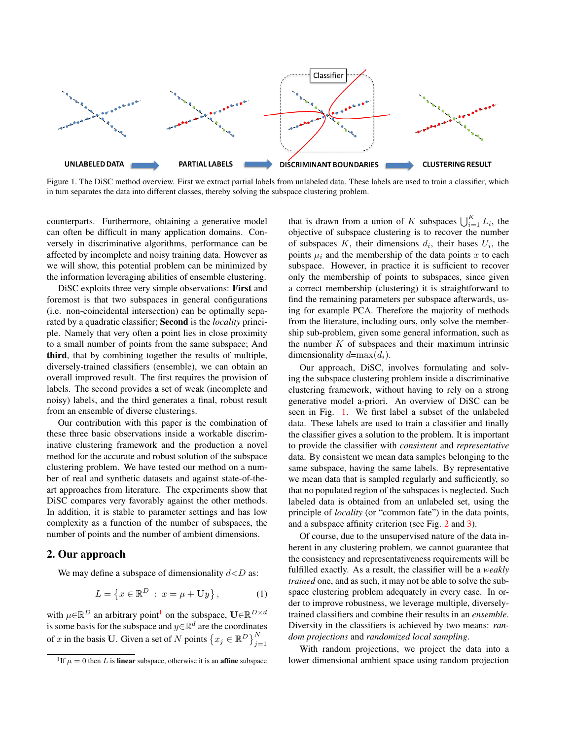

<span id="page-1-1"></span>Figure 1. The DiSC method overview. First we extract partial labels from unlabeled data. These labels are used to train a classifier, which in turn separates the data into different classes, thereby solving the subspace clustering problem.

counterparts. Furthermore, obtaining a generative model can often be difficult in many application domains. Conversely in discriminative algorithms, performance can be affected by incomplete and noisy training data. However as we will show, this potential problem can be minimized by the information leveraging abilities of ensemble clustering.

DiSC exploits three very simple observations: First and foremost is that two subspaces in general configurations (i.e. non-coincidental intersection) can be optimally separated by a quadratic classifier; Second is the *locality* principle. Namely that very often a point lies in close proximity to a small number of points from the same subspace; And third, that by combining together the results of multiple, diversely-trained classifiers (ensemble), we can obtain an overall improved result. The first requires the provision of labels. The second provides a set of weak (incomplete and noisy) labels, and the third generates a final, robust result from an ensemble of diverse clusterings.

Our contribution with this paper is the combination of these three basic observations inside a workable discriminative clustering framework and the production a novel method for the accurate and robust solution of the subspace clustering problem. We have tested our method on a number of real and synthetic datasets and against state-of-theart approaches from literature. The experiments show that DiSC compares very favorably against the other methods. In addition, it is stable to parameter settings and has low complexity as a function of the number of subspaces, the number of points and the number of ambient dimensions.

# 2. Our approach

We may define a subspace of dimensionality  $d\langle D \rangle$  as:

<span id="page-1-2"></span>
$$
L = \left\{ x \in \mathbb{R}^D \; : \; x = \mu + \mathbf{U}y \right\},\tag{1}
$$

with  $\mu \in \mathbb{R}^D$  an arbitrary point<sup>[1](#page-1-0)</sup> on the subspace,  $\mathbf{U} \in \mathbb{R}^{D \times d}$ is some basis for the subspace and  $y \in \mathbb{R}^d$  are the coordinates of x in the basis U. Given a set of N points  $\left\{x_j \in \mathbb{R}^D\right\}_{j=1}^N$ 

that is drawn from a union of K subspaces  $\bigcup_{i=1}^{K} L_i$ , the objective of subspace clustering is to recover the number of subspaces  $K$ , their dimensions  $d_i$ , their bases  $U_i$ , the points  $\mu_i$  and the membership of the data points x to each subspace. However, in practice it is sufficient to recover only the membership of points to subspaces, since given a correct membership (clustering) it is straightforward to find the remaining parameters per subspace afterwards, using for example PCA. Therefore the majority of methods from the literature, including ours, only solve the membership sub-problem, given some general information, such as the number  $K$  of subspaces and their maximum intrinsic dimensionality  $d=\max(d_i)$ .

Our approach, DiSC, involves formulating and solving the subspace clustering problem inside a discriminative clustering framework, without having to rely on a strong generative model a-priori. An overview of DiSC can be seen in Fig. [1.](#page-1-1) We first label a subset of the unlabeled data. These labels are used to train a classifier and finally the classifier gives a solution to the problem. It is important to provide the classifier with *consistent* and *representative* data. By consistent we mean data samples belonging to the same subspace, having the same labels. By representative we mean data that is sampled regularly and sufficiently, so that no populated region of the subspaces is neglected. Such labeled data is obtained from an unlabeled set, using the principle of *locality* (or "common fate") in the data points, and a subspace affinity criterion (see Fig. [2](#page-2-0) and [3\)](#page-3-0).

Of course, due to the unsupervised nature of the data inherent in any clustering problem, we cannot guarantee that the consistency and representativeness requirements will be fulfilled exactly. As a result, the classifier will be a *weakly trained* one, and as such, it may not be able to solve the subspace clustering problem adequately in every case. In order to improve robustness, we leverage multiple, diverselytrained classifiers and combine their results in an *ensemble*. Diversity in the classifiers is achieved by two means: *random projections* and *randomized local sampling*.

With random projections, we project the data into a lower dimensional ambient space using random projection

<span id="page-1-0"></span><sup>&</sup>lt;sup>1</sup>If  $\mu = 0$  then L is **linear** subspace, otherwise it is an **affine** subspace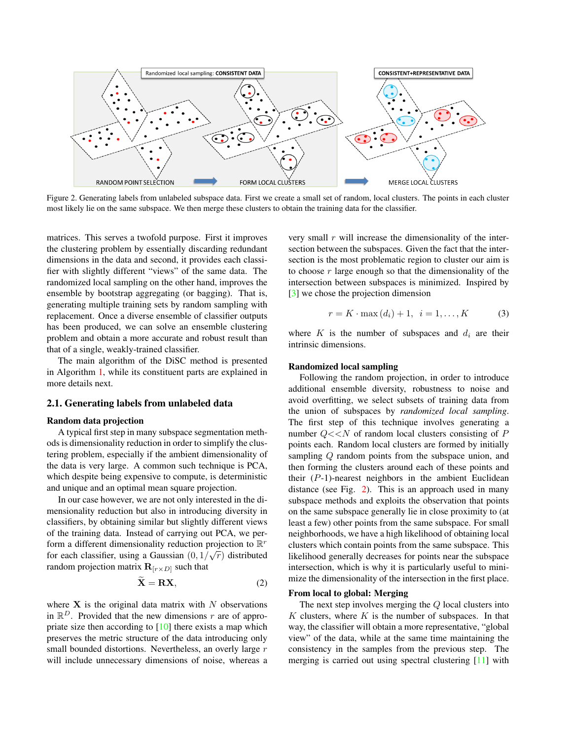<span id="page-2-2"></span>

<span id="page-2-0"></span>Figure 2. Generating labels from unlabeled subspace data. First we create a small set of random, local clusters. The points in each cluster most likely lie on the same subspace. We then merge these clusters to obtain the training data for the classifier.

matrices. This serves a twofold purpose. First it improves the clustering problem by essentially discarding redundant dimensions in the data and second, it provides each classifier with slightly different "views" of the same data. The randomized local sampling on the other hand, improves the ensemble by bootstrap aggregating (or bagging). That is, generating multiple training sets by random sampling with replacement. Once a diverse ensemble of classifier outputs has been produced, we can solve an ensemble clustering problem and obtain a more accurate and robust result than that of a single, weakly-trained classifier.

The main algorithm of the DiSC method is presented in Algorithm [1,](#page-5-0) while its constituent parts are explained in more details next.

## 2.1. Generating labels from unlabeled data

# Random data projection

A typical first step in many subspace segmentation methods is dimensionality reduction in order to simplify the clustering problem, especially if the ambient dimensionality of the data is very large. A common such technique is PCA, which despite being expensive to compute, is deterministic and unique and an optimal mean square projection.

In our case however, we are not only interested in the dimensionality reduction but also in introducing diversity in classifiers, by obtaining similar but slightly different views of the training data. Instead of carrying out PCA, we perform a different dimensionality reduction projection to  $\mathbb{R}^r$ for each classifier, using a Gaussian  $(0, 1/\sqrt{r})$  distributed random projection matrix  $\mathbf{R}_{r \times D}$  such that

<span id="page-2-1"></span>
$$
\widetilde{\mathbf{X}} = \mathbf{R}\mathbf{X},\tag{2}
$$

where  $X$  is the original data matrix with  $N$  observations in  $\mathbb{R}^D$ . Provided that the new dimensions r are of appropriate size then according to [\[10\]](#page-7-9) there exists a map which preserves the metric structure of the data introducing only small bounded distortions. Nevertheless, an overly large r will include unnecessary dimensions of noise, whereas a very small  $r$  will increase the dimensionality of the intersection between the subspaces. Given the fact that the intersection is the most problematic region to cluster our aim is to choose  $r$  large enough so that the dimensionality of the intersection between subspaces is minimized. Inspired by [\[3\]](#page-7-2) we chose the projection dimension

$$
r = K \cdot \max{(d_i) + 1}, \ \ i = 1, ..., K \tag{3}
$$

where  $K$  is the number of subspaces and  $d_i$  are their intrinsic dimensions.

#### Randomized local sampling

Following the random projection, in order to introduce additional ensemble diversity, robustness to noise and avoid overfitting, we select subsets of training data from the union of subspaces by *randomized local sampling*. The first step of this technique involves generating a number  $Q \ll N$  of random local clusters consisting of P points each. Random local clusters are formed by initially sampling Q random points from the subspace union, and then forming the clusters around each of these points and their  $(P-1)$ -nearest neighbors in the ambient Euclidean distance (see Fig. [2\)](#page-2-0). This is an approach used in many subspace methods and exploits the observation that points on the same subspace generally lie in close proximity to (at least a few) other points from the same subspace. For small neighborhoods, we have a high likelihood of obtaining local clusters which contain points from the same subspace. This likelihood generally decreases for points near the subspace intersection, which is why it is particularly useful to minimize the dimensionality of the intersection in the first place.

#### From local to global: Merging

The next step involves merging the Q local clusters into  $K$  clusters, where  $K$  is the number of subspaces. In that way, the classifier will obtain a more representative, "global view" of the data, while at the same time maintaining the consistency in the samples from the previous step. The merging is carried out using spectral clustering [\[11\]](#page-7-10) with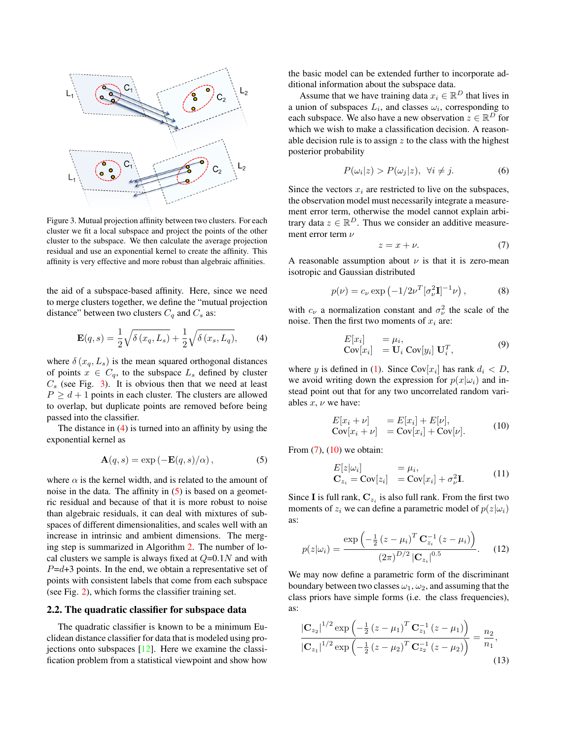<span id="page-3-7"></span>

<span id="page-3-0"></span>Figure 3. Mutual projection affinity between two clusters. For each cluster we fit a local subspace and project the points of the other cluster to the subspace. We then calculate the average projection residual and use an exponential kernel to create the affinity. This affinity is very effective and more robust than algebraic affinities.

the aid of a subspace-based affinity. Here, since we need to merge clusters together, we define the "mutual projection distance" between two clusters  $C_q$  and  $C_s$  as:

<span id="page-3-1"></span>
$$
\mathbf{E}(q,s) = \frac{1}{2}\sqrt{\delta(x_q, L_s)} + \frac{1}{2}\sqrt{\delta(x_s, L_q)},\tag{4}
$$

where  $\delta(x_q, L_s)$  is the mean squared orthogonal distances of points  $x \in C_q$ , to the subspace  $L_s$  defined by cluster  $C_s$  (see Fig. [3\)](#page-3-0). It is obvious then that we need at least  $P \ge d+1$  points in each cluster. The clusters are allowed to overlap, but duplicate points are removed before being passed into the classifier.

The distance in  $(4)$  is turned into an affinity by using the exponential kernel as

<span id="page-3-2"></span>
$$
\mathbf{A}(q,s) = \exp\left(-\mathbf{E}(q,s)/\alpha\right),\tag{5}
$$

where  $\alpha$  is the kernel width, and is related to the amount of noise in the data. The affinity in [\(5\)](#page-3-2) is based on a geometric residual and because of that it is more robust to noise than algebraic residuals, it can deal with mixtures of subspaces of different dimensionalities, and scales well with an increase in intrinsic and ambient dimensions. The merging step is summarized in Algorithm [2.](#page-5-1) The number of local clusters we sample is always fixed at  $Q=0.1N$  and with  $P=d+3$  points. In the end, we obtain a representative set of points with consistent labels that come from each subspace (see Fig. [2\)](#page-2-0), which forms the classifier training set.

#### 2.2. The quadratic classifier for subspace data

The quadratic classifier is known to be a minimum Euclidean distance classifier for data that is modeled using projections onto subspaces  $[12]$ . Here we examine the classification problem from a statistical viewpoint and show how the basic model can be extended further to incorporate additional information about the subspace data.

Assume that we have training data  $x_i \in \mathbb{R}^D$  that lives in a union of subspaces  $L_i$ , and classes  $\omega_i$ , corresponding to each subspace. We also have a new observation  $z \in \mathbb{R}^D$  for which we wish to make a classification decision. A reasonable decision rule is to assign  $z$  to the class with the highest posterior probability

$$
P(\omega_i|z) > P(\omega_j|z), \ \forall i \neq j. \tag{6}
$$

Since the vectors  $x_i$  are restricted to live on the subspaces, the observation model must necessarily integrate a measurement error term, otherwise the model cannot explain arbitrary data  $z \in \mathbb{R}^D$ . Thus we consider an additive measurement error term  $ν$ 

<span id="page-3-3"></span>
$$
z = x + \nu. \tag{7}
$$

A reasonable assumption about  $\nu$  is that it is zero-mean isotropic and Gaussian distributed

$$
p(\nu) = c_{\nu} \exp\left(-\frac{1}{2\nu} \left[\sigma_{\nu}^2 \mathbf{I}\right]^{-1} \nu\right),\tag{8}
$$

with  $c_{\nu}$  a normalization constant and  $\sigma_{\nu}^2$  the scale of the noise. Then the first two moments of  $x_i$  are:

$$
E[x_i] = \mu_i,
$$
  
Cov[x\_i] = U<sub>i</sub> Cov[y<sub>i</sub>] U<sub>i</sub><sup>T</sup>, (9)

where y is defined in [\(1\)](#page-1-2). Since  $Cov[x_i]$  has rank  $d_i < D$ , we avoid writing down the expression for  $p(x|\omega_i)$  and instead point out that for any two uncorrelated random variables  $x, y$  we have:

<span id="page-3-4"></span>
$$
E[x_i + \nu] = E[x_i] + E[\nu],
$$
  
\n
$$
Cov[x_i + \nu] = Cov[x_i] + Cov[\nu].
$$
\n(10)

From  $(7)$ ,  $(10)$  we obtain:

<span id="page-3-6"></span>
$$
E[z|\omega_i] = \mu_i,
$$
  
\n
$$
\mathbf{C}_{z_i} = \text{Cov}[z_i] = \text{Cov}[x_i] + \sigma_{\nu}^2 \mathbf{I}.
$$
\n(11)

Since **I** is full rank,  $C_{z_i}$  is also full rank. From the first two moments of  $z_i$  we can define a parametric model of  $p(z|\omega_i)$ as:

$$
p(z|\omega_i) = \frac{\exp\left(-\frac{1}{2}\left(z-\mu_i\right)^T \mathbf{C}_{z_i}^{-1} (z-\mu_i)\right)}{\left(2\pi\right)^{D/2} \left|\mathbf{C}_{z_i}\right|^{0.5}}.
$$
 (12)

We may now define a parametric form of the discriminant boundary between two classes  $\omega_1, \omega_2$ , and assuming that the class priors have simple forms (i.e. the class frequencies), as:

<span id="page-3-5"></span>
$$
\frac{\left|\mathbf{C}_{z_2}\right|^{1/2} \exp\left(-\frac{1}{2}\left(z-\mu_1\right)^T \mathbf{C}_{z_1}^{-1} \left(z-\mu_1\right)\right)}{\left|\mathbf{C}_{z_1}\right|^{1/2} \exp\left(-\frac{1}{2}\left(z-\mu_2\right)^T \mathbf{C}_{z_2}^{-1} \left(z-\mu_2\right)\right)} = \frac{n_2}{n_1},\tag{13}
$$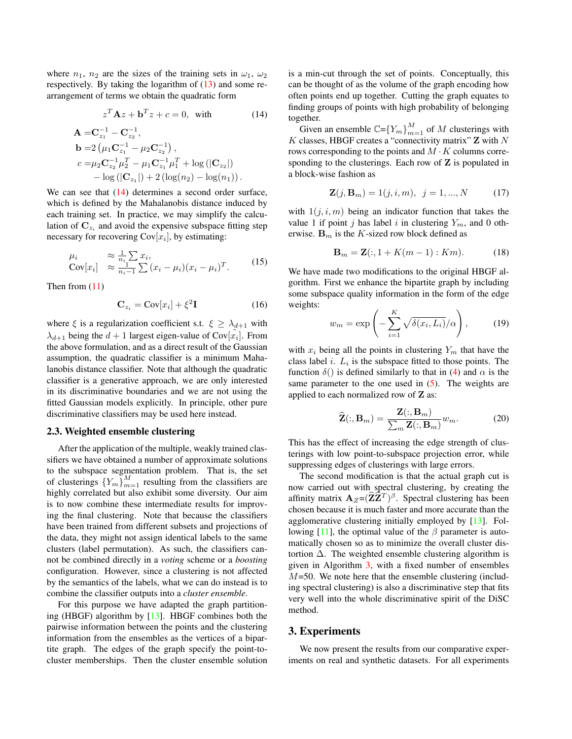<span id="page-4-3"></span>where  $n_1$ ,  $n_2$  are the sizes of the training sets in  $\omega_1$ ,  $\omega_2$ respectively. By taking the logarithm of [\(13\)](#page-3-5) and some rearrangement of terms we obtain the quadratic form

<span id="page-4-0"></span>
$$
zTAz + bTz + c = 0, \text{ with}
$$
  

$$
A = C_{z_1}^{-1} - C_{z_2}^{-1},
$$
 (14)

$$
\mathbf{b} = 2 \left( \mu_1 \mathbf{C}_{z_1}^{-1} - \mu_2 \mathbf{C}_{z_2}^{-1} \right), \nc = \mu_2 \mathbf{C}_{z_2}^{-1} \mu_2^T - \mu_1 \mathbf{C}_{z_1}^{-1} \mu_1^T + \log \left( |\mathbf{C}_{z_2}| \right) \n- \log \left( |\mathbf{C}_{z_1}| \right) + 2 \left( \log(n_2) - \log(n_1) \right).
$$

We can see that  $(14)$  determines a second order surface, which is defined by the Mahalanobis distance induced by each training set. In practice, we may simplify the calculation of  $\mathbf{C}_{z_i}$  and avoid the expensive subspace fitting step necessary for recovering  $Cov[x_i]$ , by estimating:

$$
\mu_i \approx \frac{1}{n_i} \sum_{i=1}^{n_i} x_i,
$$
  
Cov[x<sub>i</sub>]  $\approx \frac{1}{n_i - 1} \sum_{i=1}^{n_i} (x_i - \mu_i)(x_i - \mu_i)^T.$  (15)

Then from [\(11\)](#page-3-6)

<span id="page-4-1"></span>
$$
\mathbf{C}_{z_i} = \text{Cov}[x_i] + \xi^2 \mathbf{I} \tag{16}
$$

where  $\xi$  is a regularization coefficient s.t.  $\xi \geq \lambda_{d+1}$  with  $\lambda_{d+1}$  being the  $d+1$  largest eigen-value of  $Cov[\tilde{x}_i]$ . From the above formulation, and as a direct result of the Gaussian assumption, the quadratic classifier is a minimum Mahalanobis distance classifier. Note that although the quadratic classifier is a generative approach, we are only interested in its discriminative boundaries and we are not using the fitted Gaussian models explicitly. In principle, other pure discriminative classifiers may be used here instead.

# 2.3. Weighted ensemble clustering

After the application of the multiple, weakly trained classifiers we have obtained a number of approximate solutions to the subspace segmentation problem. That is, the set of clusterings  ${Y_m}_{m=1}^M$  resulting from the classifiers are highly correlated but also exhibit some diversity. Our aim is to now combine these intermediate results for improving the final clustering. Note that because the classifiers have been trained from different subsets and projections of the data, they might not assign identical labels to the same clusters (label permutation). As such, the classifiers cannot be combined directly in a *voting* scheme or a *boosting* configuration. However, since a clustering is not affected by the semantics of the labels, what we can do instead is to combine the classifier outputs into a *cluster ensemble*.

For this purpose we have adapted the graph partitioning (HBGF) algorithm by [\[13\]](#page-7-12). HBGF combines both the pairwise information between the points and the clustering information from the ensembles as the vertices of a bipartite graph. The edges of the graph specify the point-tocluster memberships. Then the cluster ensemble solution is a min-cut through the set of points. Conceptually, this can be thought of as the volume of the graph encoding how often points end up together. Cutting the graph equates to finding groups of points with high probability of belonging together.

Given an ensemble  $\mathbb{C} = \{Y_m\}_{m=1}^M$  of M clusterings with  $K$  classes, HBGF creates a "connectivity matrix"  $\mathbf Z$  with  $N$ rows corresponding to the points and  $M \cdot K$  columns corresponding to the clusterings. Each row of  $Z$  is populated in a block-wise fashion as

$$
\mathbf{Z}(j, \mathbf{B}_m) = 1(j, i, m), \ \ j = 1, ..., N \tag{17}
$$

with  $1(j, i, m)$  being an indicator function that takes the value 1 if point j has label i in clustering  $Y_m$ , and 0 otherwise.  $\mathbf{B}_m$  is the K-sized row block defined as

$$
\mathbf{B}_m = \mathbf{Z}(:,1 + K(m-1):Km). \tag{18}
$$

We have made two modifications to the original HBGF algorithm. First we enhance the bipartite graph by including some subspace quality information in the form of the edge weights:

$$
w_m = \exp\left(-\sum_{i=1}^K \sqrt{\delta(x_i, L_i)}/\alpha\right),\qquad(19)
$$

with  $x_i$  being all the points in clustering  $Y_m$  that have the class label *i*.  $L_i$  is the subspace fitted to those points. The function  $\delta()$  is defined similarly to that in [\(4\)](#page-3-1) and  $\alpha$  is the same parameter to the one used in  $(5)$ . The weights are applied to each normalized row of Z as:

<span id="page-4-2"></span>
$$
\widehat{\mathbf{Z}}(:,\mathbf{B}_m) = \frac{\mathbf{Z}(:,\mathbf{B}_m)}{\sum_m \mathbf{Z}(:,\mathbf{B}_m)} w_m.
$$
 (20)

This has the effect of increasing the edge strength of clusterings with low point-to-subspace projection error, while suppressing edges of clusterings with large errors.

The second modification is that the actual graph cut is now carried out with spectral clustering, by creating the affinity matrix  $\mathbf{A}_Z = (\hat{\mathbf{Z}} \hat{\mathbf{Z}}^T)^{\beta}$ . Spectral clustering has been chosen because it is much faster and more accurate than the agglomerative clustering initially employed by [\[13\]](#page-7-12). Fol-lowing [\[11\]](#page-7-10), the optimal value of the  $\beta$  parameter is automatically chosen so as to minimize the overall cluster distortion  $\Delta$ . The weighted ensemble clustering algorithm is given in Algorithm [3,](#page-5-2) with a fixed number of ensembles  $M=50$ . We note here that the ensemble clustering (including spectral clustering) is also a discriminative step that fits very well into the whole discriminative spirit of the DiSC method.

# 3. Experiments

We now present the results from our comparative experiments on real and synthetic datasets. For all experiments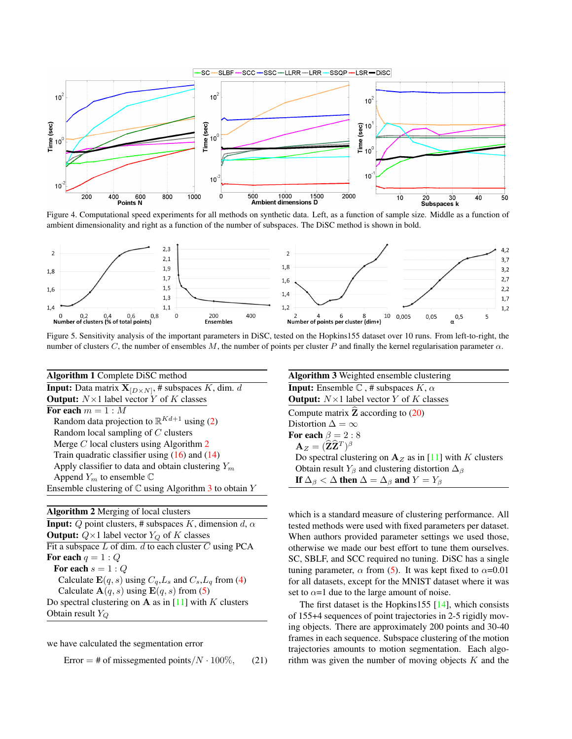<span id="page-5-6"></span>

<span id="page-5-3"></span>Figure 4. Computational speed experiments for all methods on synthetic data. Left, as a function of sample size. Middle as a function of ambient dimensionality and right as a function of the number of subspaces. The DiSC method is shown in bold.



<span id="page-5-4"></span>Figure 5. Sensitivity analysis of the important parameters in DiSC, tested on the Hopkins155 dataset over 10 runs. From left-to-right, the number of clusters C, the number of ensembles M, the number of points per cluster P and finally the kernel regularisation parameter  $\alpha$ .

<span id="page-5-0"></span>

| Algorithm 1 Complete DiSC method                                     |  |  |  |  |  |  |
|----------------------------------------------------------------------|--|--|--|--|--|--|
| <b>Input:</b> Data matrix $X_{[D \times N]}$ , # subspaces K, dim. d |  |  |  |  |  |  |
| <b>Output:</b> $N \times 1$ label vector Y of K classes              |  |  |  |  |  |  |
| For each $m = 1 : M$                                                 |  |  |  |  |  |  |
| Random data projection to $\mathbb{R}^{Kd+1}$ using (2)              |  |  |  |  |  |  |
| Random local sampling of $C$ clusters                                |  |  |  |  |  |  |
| Merge $C$ local clusters using Algorithm $2$                         |  |  |  |  |  |  |
| Train quadratic classifier using $(16)$ and $(14)$                   |  |  |  |  |  |  |
| Apply classifier to data and obtain clustering $Y_m$                 |  |  |  |  |  |  |
| Append $Y_m$ to ensemble $\mathbb C$                                 |  |  |  |  |  |  |
| Ensemble clustering of $\mathbb C$ using Algorithm 3 to obtain Y     |  |  |  |  |  |  |

<span id="page-5-1"></span>

we have calculated the segmentation error

<span id="page-5-5"></span>Error = # of missegmented points/ $N \cdot 100\%$ , (21)

<span id="page-5-2"></span>

which is a standard measure of clustering performance. All tested methods were used with fixed parameters per dataset. When authors provided parameter settings we used those, otherwise we made our best effort to tune them ourselves. SC, SBLF, and SCC required no tuning. DiSC has a single tuning parameter,  $\alpha$  from [\(5\)](#page-3-2). It was kept fixed to  $\alpha$ =0.01 for all datasets, except for the MNIST dataset where it was set to  $\alpha$ =1 due to the large amount of noise.

The first dataset is the Hopkins155  $[14]$ , which consists of 155+4 sequences of point trajectories in 2-5 rigidly moving objects. There are approximately 200 points and 30-40 frames in each sequence. Subspace clustering of the motion trajectories amounts to motion segmentation. Each algorithm was given the number of moving objects  $K$  and the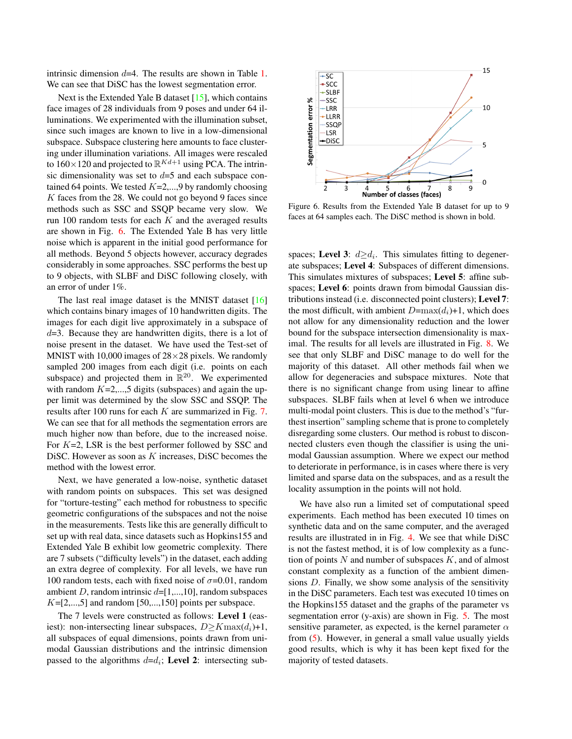<span id="page-6-1"></span>intrinsic dimension  $d=4$ . The results are shown in Table [1.](#page-7-14) We can see that DiSC has the lowest segmentation error.

Next is the Extended Yale B dataset [\[15\]](#page-7-15), which contains face images of 28 individuals from 9 poses and under 64 illuminations. We experimented with the illumination subset, since such images are known to live in a low-dimensional subspace. Subspace clustering here amounts to face clustering under illumination variations. All images were rescaled to  $160 \times 120$  and projected to  $\mathbb{R}^{Kd+1}$  using PCA. The intrinsic dimensionality was set to  $d=5$  and each subspace contained 64 points. We tested  $K=2,...,9$  by randomly choosing K faces from the 28. We could not go beyond 9 faces since methods such as SSC and SSQP became very slow. We run 100 random tests for each  $K$  and the averaged results are shown in Fig. [6.](#page-6-0) The Extended Yale B has very little noise which is apparent in the initial good performance for all methods. Beyond 5 objects however, accuracy degrades considerably in some approaches. SSC performs the best up to 9 objects, with SLBF and DiSC following closely, with an error of under 1%.

The last real image dataset is the MNIST dataset [\[16\]](#page-7-16) which contains binary images of 10 handwritten digits. The images for each digit live approximately in a subspace of  $d=3$ . Because they are handwritten digits, there is a lot of noise present in the dataset. We have used the Test-set of MNIST with 10,000 images of  $28\times28$  pixels. We randomly sampled 200 images from each digit (i.e. points on each subspace) and projected them in  $\mathbb{R}^{20}$ . We experimented with random  $K=2,...,5$  digits (subspaces) and again the upper limit was determined by the slow SSC and SSQP. The results after 100 runs for each K are summarized in Fig. [7.](#page-7-17) We can see that for all methods the segmentation errors are much higher now than before, due to the increased noise. For  $K=2$ , LSR is the best performer followed by SSC and DiSC. However as soon as  $K$  increases, DiSC becomes the method with the lowest error.

Next, we have generated a low-noise, synthetic dataset with random points on subspaces. This set was designed for "torture-testing" each method for robustness to specific geometric configurations of the subspaces and not the noise in the measurements. Tests like this are generally difficult to set up with real data, since datasets such as Hopkins155 and Extended Yale B exhibit low geometric complexity. There are 7 subsets ("difficulty levels") in the dataset, each adding an extra degree of complexity. For all levels, we have run 100 random tests, each with fixed noise of  $\sigma$ =0.01, random ambient D, random intrinsic  $d=[1,...,10]$ , random subspaces  $K=[2,...,5]$  and random [50,...,150] points per subspace.

The 7 levels were constructed as follows: Level 1 (easiest): non-intersecting linear subspaces,  $D \geq K \max(d_i)+1$ , all subspaces of equal dimensions, points drawn from unimodal Gaussian distributions and the intrinsic dimension passed to the algorithms  $d=d_i$ ; Level 2: intersecting sub-



<span id="page-6-0"></span>Figure 6. Results from the Extended Yale B dataset for up to 9 faces at 64 samples each. The DiSC method is shown in bold.

spaces; Level 3:  $d \geq d_i$ . This simulates fitting to degenerate subspaces; Level 4: Subspaces of different dimensions. This simulates mixtures of subspaces; Level 5: affine subspaces; Level 6: points drawn from bimodal Gaussian distributions instead (i.e. disconnected point clusters); Level 7: the most difficult, with ambient  $D=max(d_i)+1$ , which does not allow for any dimensionality reduction and the lower bound for the subspace intersection dimensionality is maximal. The results for all levels are illustrated in Fig. [8.](#page-7-18) We see that only SLBF and DiSC manage to do well for the majority of this dataset. All other methods fail when we allow for degeneracies and subspace mixtures. Note that there is no significant change from using linear to affine subspaces. SLBF fails when at level 6 when we introduce multi-modal point clusters. This is due to the method's "furthest insertion" sampling scheme that is prone to completely disregarding some clusters. Our method is robust to disconnected clusters even though the classifier is using the unimodal Gaussian assumption. Where we expect our method to deteriorate in performance, is in cases where there is very limited and sparse data on the subspaces, and as a result the locality assumption in the points will not hold.

We have also run a limited set of computational speed experiments. Each method has been executed 10 times on synthetic data and on the same computer, and the averaged results are illustrated in in Fig. [4.](#page-5-3) We see that while DiSC is not the fastest method, it is of low complexity as a function of points  $N$  and number of subspaces  $K$ , and of almost constant complexity as a function of the ambient dimensions D. Finally, we show some analysis of the sensitivity in the DiSC parameters. Each test was executed 10 times on the Hopkins155 dataset and the graphs of the parameter vs segmentation error (y-axis) are shown in Fig. [5.](#page-5-4) The most sensitive parameter, as expected, is the kernel parameter  $\alpha$ from [\(5\)](#page-3-2). However, in general a small value usually yields good results, which is why it has been kept fixed for the majority of tested datasets.